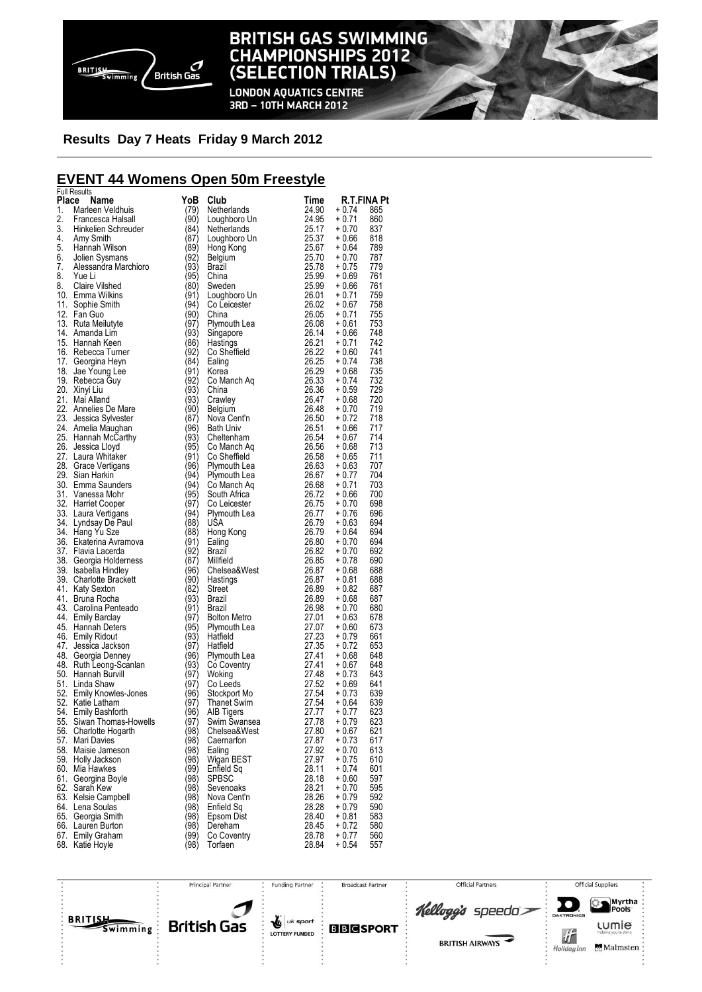

### **BRITISH GAS SWIMMING CHAMPIONSHIPS 2012** (SELECTION TRIALS)

**LONDON AQUATICS CENTRE** 3RD - 10TH MARCH 2012

### **Results Day 7 Heats Friday 9 March 2012**

### **EVENT 44 Womens Open 50m Freestyle**

|          | <b>Full Results</b>                            |              |                                                                                                  |                                                                                                                                                                         |                                  |
|----------|------------------------------------------------|--------------|--------------------------------------------------------------------------------------------------|-------------------------------------------------------------------------------------------------------------------------------------------------------------------------|----------------------------------|
| Place    | Name                                           | YoB          | Club                                                                                             | Time                                                                                                                                                                    | <b>R.T.FINA Pt</b>               |
| 1.<br>2. | Marleen Veldhuis<br>Francesca Halsall          | (79)<br>(90) | Netherlands                                                                                      | 24.90                                                                                                                                                                   | + 0.74<br>865<br>$+0.71$<br>860  |
| 3.       |                                                | (84)         | Loughboro Un<br>Netherlands                                                                      |                                                                                                                                                                         | $+0.70$<br>837                   |
| 4.       | Hinkelien Schreuder<br>Ami: Omith<br>Amy Smith | (87)         | Loughboro Un                                                                                     |                                                                                                                                                                         | $+0.66$<br>818                   |
| 5.       | Hannah Wilson                                  | (89)         | Hong Kong                                                                                        |                                                                                                                                                                         | + 0.64<br>789                    |
| 6.       | Jolien Sysmans                                 | (92)         | Belgium                                                                                          | $24.95$<br>$25.17$<br>$25.37$<br>$25.67$<br>$25.70$                                                                                                                     | $+0.70$<br>787                   |
| 7.       | Alessandra Marchioro                           | (93)         | Brazil                                                                                           | $25.78$<br>$25.99$<br>$25.99$<br>$26.01$<br>$26.02$<br>$26.05$                                                                                                          | $+0.75$<br>779                   |
| 8.       | Yue Li                                         | (95)         | China                                                                                            |                                                                                                                                                                         | 761<br>+ 0.69                    |
| 8.       | Claire Vilshed                                 | (80)         | Sweden                                                                                           |                                                                                                                                                                         | 761<br>+ 0.66                    |
|          | 10. Emma Wilkins                               | (91)         | Loughboro Un<br>Co Leicester                                                                     |                                                                                                                                                                         | 759<br>+ 0.71                    |
|          | 11. Sophie Smith                               | (94)         |                                                                                                  |                                                                                                                                                                         | 758<br>+ 0.67                    |
|          | 12. Fan Guo                                    | (90)         | China                                                                                            |                                                                                                                                                                         | 755<br>$+0.71$                   |
|          | 13. Ruta Meilutyte                             | (97)         | Plymouth Lea<br>Singapore<br>Hastings                                                            | 26.08<br>26.14<br>26.21                                                                                                                                                 | $+0.61$<br>753                   |
|          | 14. Amanda Lim                                 | (93)         |                                                                                                  |                                                                                                                                                                         | 748<br>+ 0.66                    |
|          | 15. Hannah Keen                                | (86)         | Hastings<br>Co Sheffield                                                                         |                                                                                                                                                                         | 742<br>$+0.71$                   |
|          | 16. Rebecca Turner                             | (92)         |                                                                                                  | 26.22<br>26.25<br>26.29<br>26.33<br>26.36<br>26.47                                                                                                                      | 741<br>$+0.60$                   |
|          | 17. Georgina Heyn                              | (84)         | Ealing                                                                                           |                                                                                                                                                                         | 738<br>+ 0.74                    |
|          | 18. Jae Young Lee                              | (91)         | Korea                                                                                            |                                                                                                                                                                         | $+0.68$<br>735                   |
|          | 19. Rebecca Guy                                | (92)         | Co Manch Aq                                                                                      |                                                                                                                                                                         | 732<br>+ 0.74                    |
|          | 20. Xinyi Liu                                  | (93)<br>(93) | China                                                                                            |                                                                                                                                                                         | $+0.59$<br>729                   |
|          | 21. Mai Alland<br>22. Annelies De Mare         |              | Crawley                                                                                          |                                                                                                                                                                         | 720<br>$+0.68$<br>719            |
|          | 23. Jessica Sylvester                          | (90)<br>(87) | Belgium                                                                                          |                                                                                                                                                                         | + 0.70<br>718<br>$+0.72$         |
|          | 24. Amelia Maughan                             | (96)         | Nova Cent'n<br><b>Bath Univ</b>                                                                  |                                                                                                                                                                         | 717<br>$+0.66$                   |
|          | 25. Hannah McCarthy                            | (93)         |                                                                                                  |                                                                                                                                                                         | 714<br>+ 0.67                    |
|          | 26. Jessica Lloyd                              | (95)         |                                                                                                  |                                                                                                                                                                         | 713<br>+ 0.68                    |
|          | 27. Laura Whitaker                             | (91)         | Cheltenham<br>Co Manch Aq<br>Co Sheffield<br>Co Sheffield                                        |                                                                                                                                                                         | 711<br>+ 0.65                    |
|          | 28. Grace Vertigans                            | (96)         |                                                                                                  |                                                                                                                                                                         | $+0.63$<br>707                   |
|          | 29. Sian Harkin                                | (94)         |                                                                                                  |                                                                                                                                                                         | $+0.77$<br>704                   |
|          | 30. Emma Saunders                              | (94)         |                                                                                                  |                                                                                                                                                                         | 703<br>$+0.71$                   |
|          | 31. Vanessa Mohr                               | (95)         |                                                                                                  |                                                                                                                                                                         | $+0.66$<br>700                   |
|          | 32. Harriet Cooper                             | (97)         |                                                                                                  |                                                                                                                                                                         | 698<br>$+0.70$                   |
|          | 33. Laura Vertigans                            | (94)         | Co Sneinean<br>Plymouth Lea<br>Co Manch Aq<br>Co Manch Aq<br>South Africa<br>Plymouth Lea<br>USA | 26.48<br>26.50<br>26.54<br>26.58<br>26.58<br>26.58<br>26.58<br>26.58<br>26.58<br>26.58<br>26.58<br>26.77<br>26.77<br>26.77<br>26.72<br>26.58<br>26.58<br>26.58<br>26.58 | 696<br>$+0.76$                   |
|          | 34. Lyndsay De Paul                            | (88)         | <b>USA</b>                                                                                       |                                                                                                                                                                         | $+0.63$<br>694                   |
|          | 34. Hang Yu Sze                                | (88)         | Hong Kong                                                                                        |                                                                                                                                                                         | + 0.64<br>694                    |
|          | 36. Ekaterina Avramova                         | (91)         | Ealing                                                                                           |                                                                                                                                                                         | $+0.70$<br>694                   |
|          | 37. Flavia Lacerda                             | (92)         | Brazil                                                                                           |                                                                                                                                                                         | $+0.70$<br>692                   |
|          | 38. Georgia Holderness                         | (87)         | Millfield                                                                                        |                                                                                                                                                                         | $+0.78$<br>690                   |
|          | 39. Isabella Hindley                           | (96)         | Chelsea&West<br>Hastings<br>Street<br>Brazil                                                     | 26.87                                                                                                                                                                   | $+0.68$<br>688                   |
|          | 39. Charlotte Brackett                         | (90)<br>(82) |                                                                                                  | 26.87<br>26.89                                                                                                                                                          | + 0.81<br>688                    |
|          | 41. Katy Sexton<br>41. Bruna Rocha             | (93)         |                                                                                                  | 26.89                                                                                                                                                                   | + 0.82<br>687<br>687<br>+ 0.68   |
|          | 43. Carolina Penteado                          | (91)         | Brazil                                                                                           |                                                                                                                                                                         | $+0.70$<br>680                   |
|          | 44. Emily Barclay                              | (97)         | <del>o</del> ∪iton Metro<br>Plymouth Lea<br>Hatfield                                             | 20.09<br>26.98<br>27.01<br>27.07                                                                                                                                        | $+0.63$<br>678                   |
|          | 45. Hannah Deters                              | (95)         |                                                                                                  | 27.07                                                                                                                                                                   | 673<br>$+0.60$                   |
|          | 46. Emily Ridout                               | (93)         |                                                                                                  |                                                                                                                                                                         | $+0.79$<br>661                   |
|          | 47. Jessica Jackson                            | (97)         | Hatfield                                                                                         | 27.07<br>27.23<br>27.35<br>27.41<br>27.48<br>27.48                                                                                                                      | $+0.72$<br>653                   |
|          | 48. Georgia Denney                             | (96)         | Plymouth Lea<br>Co Coventry                                                                      |                                                                                                                                                                         | $+0.68$<br>648                   |
|          | 48. Ruth Leong-Scanlan                         | (93)         |                                                                                                  |                                                                                                                                                                         | $+0.67$<br>648                   |
|          | 50. Hannah Burvill                             | (97)         | Woking                                                                                           |                                                                                                                                                                         | $+0.73$<br>643                   |
|          | 51. Linda Shaw                                 | (97)         | Co Leeds                                                                                         | 27.52<br>27.54<br>27.54                                                                                                                                                 | $+0.69$<br>641                   |
|          | 52. Emily Knowles-Jones                        | (96)         | Stockport Mo                                                                                     |                                                                                                                                                                         | $+0.73$<br>639                   |
|          | 52. Katie Latham                               | (97)         | <b>Thanet Swim</b>                                                                               |                                                                                                                                                                         | $+0.64$<br>639                   |
|          | 54. Emily Bashforth                            | (96)         | AIB Tigers                                                                                       | 27.77                                                                                                                                                                   | 623<br>$+0.77$                   |
|          | 55. Siwan Thomas-Howells                       | 97)          | Swim Swansea                                                                                     | 27.78                                                                                                                                                                   | $+0.79$<br>623                   |
|          | 56. Charlotte Hogarth<br>57. Mari Davies       | '98)         | Chelsea&West                                                                                     | 27.80                                                                                                                                                                   | $+0.67$<br>621                   |
|          |                                                | (98          | Caernarfon                                                                                       | 27.87                                                                                                                                                                   | $+0.73$<br>617                   |
|          | 58. Maisie Jameson<br>59. Holly Jackson        | (98)<br>'98) | Ealing<br>Wigan BEST                                                                             | 27.92<br>27.97                                                                                                                                                          | $+0.70$<br>613<br>$+0.75$<br>610 |
|          | 60. Mia Hawkes                                 | '99)         | Enfield Sq                                                                                       | 28.11                                                                                                                                                                   | 601<br>$+0.74$                   |
|          | 61. Georgina Boyle                             | (98          | <b>SPBSC</b>                                                                                     | 28.18                                                                                                                                                                   | $+0.60$<br>597                   |
|          | 62. Sarah Kew                                  | '98)         | Sevenoaks                                                                                        | 28.21                                                                                                                                                                   | 595<br>$+0.70$                   |
|          | 63. Kelsie Campbell                            | (98)         | Nova Cent'n                                                                                      | 28.26                                                                                                                                                                   | $+0.79$<br>592                   |
|          | 64. Lena Soulas                                | '98)         | Enfield Sq                                                                                       | 28.28                                                                                                                                                                   | $+0.79$<br>590                   |
|          | 65. Georgia Smith                              | '98)         | Epsom Dist                                                                                       | 28.40                                                                                                                                                                   | + 0.81<br>583                    |
|          | 66. Lauren Burton                              | '98)         | Dereham                                                                                          | 28.45                                                                                                                                                                   | $+0.72$<br>580                   |
|          | 67. Emily Graham                               | '99)         | Co Coventry                                                                                      | 28.78                                                                                                                                                                   | $+0.77$<br>560                   |
|          | 68. Katie Hoyle                                | (98)         | Torfaen                                                                                          | 28.84                                                                                                                                                                   | $+0.54$<br>557                   |

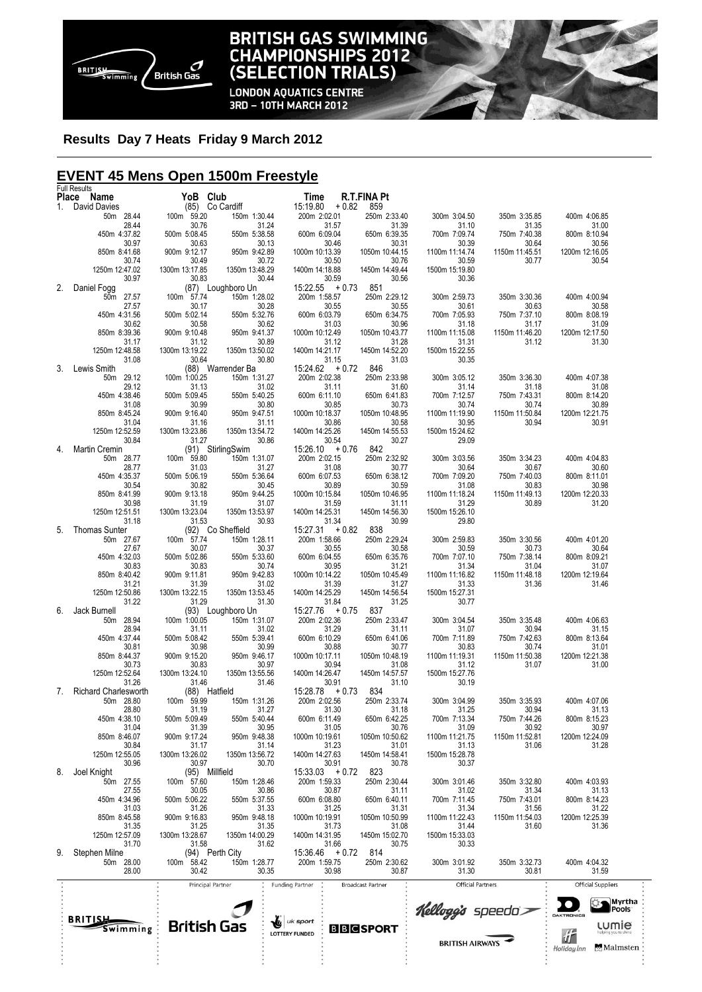

# **BRITISH GAS SWIMMING<br>CHAMPIONSHIPS 2012<br>(SELECTION TRIALS)**

**LONDON AQUATICS CENTRE<br>3RD - 10TH MARCH 2012** 

### **Results Day 7 Heats Friday 9 March 2012**

### **EVENT 45 Mens Open 1500m Freestyle**

|    | <b>Full Results</b>                      |                         |                                   |                                   |                           |                          |                         |                                |  |
|----|------------------------------------------|-------------------------|-----------------------------------|-----------------------------------|---------------------------|--------------------------|-------------------------|--------------------------------|--|
| 1. | Place Name<br>David Davies               | YoB Club                | (85) Co Cardiff                   | Time<br>15:19.80<br>$+0.82$       | <b>R.T.FINA Pt</b><br>859 |                          |                         |                                |  |
|    | 50m 28.44                                | 100m 59.20              | 150m 1:30.44                      | 200m 2:02.01                      | 250m 2:33.40              | 300m 3:04.50             | 350m 3:35.85            | 400m 4:06.85                   |  |
|    | 28.44                                    | 30.76                   | 31.24                             | 31.57                             | 31.39                     | 31.10                    | 31.35                   | 31.00                          |  |
|    | 450m 4:37.82<br>30.97                    | 500m 5:08.45<br>30.63   | 550m 5:38.58<br>30.13             | 600m 6:09.04<br>30.46             | 650m 6:39.35<br>30.31     | 700m 7:09.74<br>30.39    | 750m 7:40.38<br>30.64   | 800m 8:10.94<br>30.56          |  |
|    | 850m 8:41.68                             | 900m 9:12.17            | 950m 9:42.89                      | 1000m 10:13.39                    | 1050m 10:44.15            | 1100m 11:14.74           | 1150m 11:45.51          | 1200m 12:16.05                 |  |
|    | 30.74                                    | 30.49                   | 30.72                             | 30.50                             | 30.76                     | 30.59                    | 30.77                   | 30.54                          |  |
|    | 1250m 12:47.02<br>30.97                  | 1300m 13:17.85<br>30.83 | 1350m 13:48.29<br>30.44           | 1400m 14:18.88<br>30.59           | 1450m 14:49.44<br>30.56   | 1500m 15:19.80<br>30.36  |                         |                                |  |
| 2. | Daniel Fogg                              |                         | (87) Loughboro Un                 | $15:22.55 + 0.73$                 | 851                       |                          |                         |                                |  |
|    | 50m 27.57                                | 100m 57.74              | 150m 1:28.02                      | 200m 1:58.57                      | 250m 2:29.12              | 300m 2:59.73             | 350m 3:30.36            | 400m 4:00.94                   |  |
|    | 27.57<br>450m 4:31.56                    | 30.17<br>500m 5:02.14   | 30.28<br>550m 5:32.76             | 30.55<br>600m 6:03.79             | 30.55<br>650m 6:34.75     | 30.61<br>700m 7:05.93    | 30.63<br>750m 7:37.10   | 30.58<br>800m 8:08.19          |  |
|    | 30.62                                    | 30.58                   | 30.62                             | 31.03                             | 30.96                     | 31.18                    | 31.17                   | 31.09                          |  |
|    | 850m 8:39.36                             | 900m 9:10.48            | 950m 9:41.37                      | 1000m 10:12.49                    | 1050m 10:43.77            | 1100m 11:15.08           | 1150m 11:46.20          | 1200m 12:17.50                 |  |
|    | 31.17<br>1250m 12:48.58                  | 31.12<br>1300m 13:19.22 | 30.89<br>1350m 13:50.02           | 31.12<br>1400m 14:21.17           | 31.28<br>1450m 14:52.20   | 31.31<br>1500m 15:22.55  | 31.12                   | 31.30                          |  |
|    | 31.08                                    | 30.64                   | 30.80                             | 31.15                             | 31.03                     | 30.35                    |                         |                                |  |
| 3. | Lewis Smith<br>29.12<br>50m              | 100m 1:00.25            | (88) Warrender Ba<br>150m 1:31.27 | $15:24.62 + 0.72$<br>200m 2:02.38 | 846<br>250m 2:33.98       | 300m 3:05.12             | 350m 3:36.30            | 400m 4:07.38                   |  |
|    | 29.12                                    | 31.13                   | 31.02                             | 31.11                             | 31.60                     | 31.14                    | 31.18                   | 31.08                          |  |
|    | 450m 4:38.46                             | 500m 5:09.45            | 550m 5:40.25                      | 600m 6:11.10                      | 650m 6:41.83              | 700m 7:12.57             | 750m 7:43.31            | 800m 8:14.20                   |  |
|    | 31.08<br>850m 8:45.24                    | 30.99<br>900m 9:16.40   | 30.80<br>950m 9:47.51             | 30.85<br>1000m 10:18.37           | 30.73<br>1050m 10:48.95   | 30.74<br>1100m 11:19.90  | 30.74<br>1150m 11:50.84 | 30.89<br>1200m 12:21.75        |  |
|    | 31.04                                    | 31.16                   | 31.11                             | 30.86                             | 30.58                     | 30.95                    | 30.94                   | 30.91                          |  |
|    | 1250m 12:52.59                           | 1300m 13:23.86          | 1350m 13:54.72                    | 1400m 14:25.26                    | 1450m 14:55.53            | 1500m 15:24.62           |                         |                                |  |
| 4. | 30.84<br>Martin Cremin                   | 31.27                   | 30.86<br>(91) StirlingSwim        | 30.54<br>$15:26.10 + 0.76$        | 30.27<br>842              | 29.09                    |                         |                                |  |
|    | 50m 28.77                                | 100m 59.80              | 150m 1:31.07                      | 200m 2:02.15                      | 250m 2:32.92              | 300m 3:03.56             | 350m 3:34.23            | 400m 4:04.83                   |  |
|    | 28.77                                    | 31.03<br>500m 5:06.19   | 31.27<br>550m 5:36.64             | 31.08<br>600m 6:07.53             | 30.77<br>650m 6:38.12     | 30.64<br>700m 7:09.20    | 30.67                   | 30.60                          |  |
|    | 450m 4:35.37<br>30.54                    | 30.82                   | 30.45                             | 30.89                             | 30.59                     | 31.08                    | 750m 7:40.03<br>30.83   | 800m 8:11.01<br>30.98          |  |
|    | 850m 8:41.99                             | 900m 9:13.18            | 950m 9:44.25                      | 1000m 10:15.84                    | 1050m 10:46.95            | 1100m 11:18.24           | 1150m 11:49.13          | 1200m 12:20.33                 |  |
|    | 30.98<br>1250m 12:51.51                  | 31.19<br>1300m 13:23.04 | 31.07<br>1350m 13:53.97           | 31.59<br>1400m 14:25.31           | 31.11<br>1450m 14:56.30   | 31.29<br>1500m 15:26.10  | 30.89                   | 31.20                          |  |
|    | 31.18                                    | 31.53                   | 30.93                             | 31.34                             | 30.99                     | 29.80                    |                         |                                |  |
| 5. | <b>Thomas Sunter</b>                     |                         | (92) Co Sheffield                 | $15:27.31 + 0.82$                 | 838                       |                          |                         |                                |  |
|    | 50m 27.67<br>27.67                       | 100m 57.74<br>30.07     | 150m 1:28.11<br>30.37             | 200m 1:58.66<br>30.55             | 250m 2:29.24<br>30.58     | 300m 2:59.83<br>30.59    | 350m 3:30.56<br>30.73   | 400m 4:01.20<br>30.64          |  |
|    | 450m 4:32.03                             | 500m 5:02.86            | 550m 5:33.60                      | 600m 6:04.55                      | 650m 6:35.76              | 700m 7:07.10             | 750m 7:38.14            | 800m 8:09.21                   |  |
|    | 30.83<br>850m 8:40.42                    | 30.83<br>900m 9:11.81   | 30.74<br>950m 9:42.83             | 30.95<br>1000m 10:14.22           | 31.21<br>1050m 10:45.49   | 31.34<br>1100m 11:16.82  | 31.04<br>1150m 11:48.18 | 31.07<br>1200m 12:19.64        |  |
|    | 31.21                                    | 31.39                   | 31.02                             | 31.39                             | 31.27                     | 31.33                    | 31.36                   | 31.46                          |  |
|    | 1250m 12:50.86                           | 1300m 13:22.15          | 1350m 13:53.45                    | 1400m 14:25.29                    | 1450m 14:56.54            | 1500m 15:27.31           |                         |                                |  |
| 6. | 31.22<br>Jack Burnell                    | 31.29                   | 31.30<br>(93) Loughboro Un        | 31.84<br>$15:27.76 + 0.75$        | 31.25<br>837              | 30.77                    |                         |                                |  |
|    | 50m 28.94                                | 100m 1:00.05            | 150m 1:31.07                      | 200m 2:02.36                      | 250m 2:33.47              | 300m 3:04.54             | 350m 3:35.48            | 400m 4:06.63                   |  |
|    | 28.94<br>450m 4:37.44                    | 31.11<br>500m 5:08.42   | 31.02<br>550m 5:39.41             | 31.29<br>600m 6:10.29             | 31.11<br>650m 6:41.06     | 31.07<br>700m 7:11.89    | 30.94<br>750m 7:42.63   | 31.15<br>800m 8:13.64          |  |
|    | 30.81                                    | 30.98                   | 30.99                             | 30.88                             | 30.77                     | 30.83                    | 30.74                   | 31.01                          |  |
|    | 850m 8:44.37                             | 900m 9:15.20            | 950m 9:46.17                      | 1000m 10:17.11                    | 1050m 10:48.19            | 1100m 11:19.31           | 1150m 11:50.38          | 1200m 12:21.38                 |  |
|    | 30.73<br>1250m 12:52.64                  | 30.83<br>1300m 13:24.10 | 30.97<br>1350m 13:55.56           | 30.94<br>1400m 14:26.47           | 31.08<br>1450m 14:57.57   | 31.12<br>1500m 15:27.76  | 31.07                   | 31.00                          |  |
|    | 31.26                                    | 31.46                   | 31.46                             | 30.91                             | 31.10                     | 30.19                    |                         |                                |  |
| 7. | <b>Richard Charlesworth</b><br>50m 28.80 | 100m 59.99              | (88) Hatfield<br>150m 1:31.26     | $15:28.78 + 0.73$<br>200m 2:02.56 | 834<br>250m 2:33.74       | 300m 3:04.99             | 350m 3:35.93            | 400m 4:07.06                   |  |
|    | 28.80                                    | 31.19                   | 31.27                             | 31.30                             | 31.18                     | 31.25                    | 30.94                   | 31.13                          |  |
|    | 450m 4:38.10                             | 500m 5:09.49            | 550m 5:40.44                      | 600m 6:11.49                      | 650m 6:42.25              | 700m 7:13.34             | 750m 7:44.26            | 800m 8:15.23                   |  |
|    | 31.04<br>850m 8:46.07                    | 31.39<br>900m 9:17.24   | 30.95<br>950m 9:48.38             | 31.05<br>1000m 10:19.61           | 30.76<br>1050m 10:50.62   | 31.09<br>1100m 11:21.75  | 30.92<br>1150m 11:52.81 | 30.97<br>1200m 12:24.09        |  |
|    | 30.84                                    | 31.17                   | 31.14                             | 31.23                             | 31.01                     | 31.13                    | 31.06                   | 31.28                          |  |
|    | 1250m 12:55.05<br>30.96                  | 1300m 13:26.02<br>30.97 | 1350m 13:56.72<br>30.70           | 1400m 14:27.63<br>30.91           | 1450m 14:58.41<br>30.78   | 1500m 15:28.78<br>30.37  |                         |                                |  |
| 8. | Joel Knight                              |                         | (95) Millfield                    | $15:33.03 + 0.72$                 | 823                       |                          |                         |                                |  |
|    | 50m 27.55                                | 100m 57.60              | 150m 1:28.46                      | 200m 1:59.33                      | 250m 2:30.44              | 300m 3:01.46             | 350m 3:32.80            | 400m 4:03.93                   |  |
|    | 27.55<br>450m 4:34.96                    | 30.05<br>500m 5:06.22   | 30.86<br>550m 5:37.55             | 30.87<br>600m 6:08.80             | 31.11<br>650m 6:40.11     | 31.02<br>700m 7:11.45    | 31.34<br>750m 7:43.01   | 31.13<br>800m 8:14.23          |  |
|    | 31.03                                    | 31.26                   | 31.33                             | 31.25                             | 31.31                     | 31.34                    | 31.56                   | 31.22                          |  |
|    | 850m 8:45.58<br>31.35                    | 900m 9:16.83<br>31.25   | 950m 9:48.18<br>31.35             | 1000m 10:19.91<br>31.73           | 1050m 10:50.99<br>31.08   | 1100m 11:22.43<br>31.44  | 1150m 11:54.03<br>31.60 | 1200m 12:25.39<br>31.36        |  |
|    | 1250m 12:57.09                           | 1300m 13:28.67          | 1350m 14:00.29                    | 1400m 14:31.95                    | 1450m 15:02.70            | 1500m 15:33.03           |                         |                                |  |
|    | 31.70                                    | 31.58                   | 31.62                             | 31.66                             | 30.75                     | 30.33                    |                         |                                |  |
| 9. | Stephen Milne<br>50m 28.00               | 100m 58.42              | (94) Perth City<br>150m 1:28.77   | $15:36.46 + 0.72$<br>200m 1:59.75 | 814<br>250m 2:30.62       | 300m 3:01.92             | 350m 3:32.73            | 400m 4:04.32                   |  |
|    | 28.00                                    | 30.42                   | 30.35                             | 30.98                             | 30.87                     | 31.30                    | 30.81                   | 31.59                          |  |
|    |                                          |                         | Principal Partner                 | <b>Funding Partner</b>            | <b>Broadcast Partner</b>  | <b>Official Partners</b> |                         | Official Suppliers             |  |
|    |                                          |                         |                                   |                                   |                           |                          |                         | <b>Myrtha</b>                  |  |
|    |                                          |                         |                                   |                                   |                           | Kellogg's speedo         |                         | <b>Pools</b><br>DAKTRONICS     |  |
|    | <b>BRITISH</b><br>Swimming               | <b>British Gas</b>      |                                   | <b>Lig</b> uk sport               |                           |                          |                         | <b>LUMIE</b>                   |  |
|    |                                          |                         |                                   | <b>LOTTERY FUNDED</b>             | <b>BBCSPORT</b>           |                          |                         | 折                              |  |
|    |                                          |                         |                                   |                                   |                           | <b>BRITISH AIRWAYS</b>   |                         | <b>Malmsten</b><br>Holiday Inn |  |
|    |                                          |                         |                                   |                                   |                           |                          |                         |                                |  |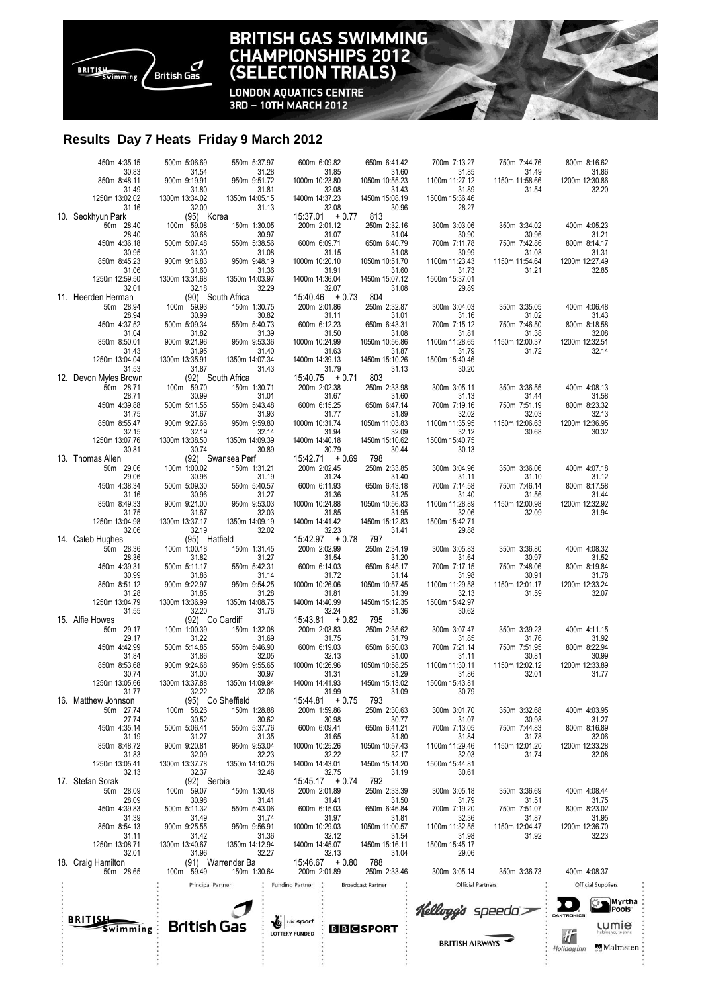

## **BRITISH GAS SWIMMING<br>CHAMPIONSHIPS 2012<br>(SELECTION TRIALS)**

**LONDON AQUATICS CENTRE<br>3RD - 10TH MARCH 2012** 

### **Results Day 7 Heats Friday 9 March 2012**

| 450m 4:35.15                   | 500m 5:06.69                                                                                                                               | 550m 5:37.97                                                                                                                                                                                                                                                         | 600m 6:09.82                                                                              | 650m 6:41.42                                                                        | 700m 7:13.27                                                                                                                             | 750m 7:44.76            | 800m 8:16.62                     |                                        |
|--------------------------------|--------------------------------------------------------------------------------------------------------------------------------------------|----------------------------------------------------------------------------------------------------------------------------------------------------------------------------------------------------------------------------------------------------------------------|-------------------------------------------------------------------------------------------|-------------------------------------------------------------------------------------|------------------------------------------------------------------------------------------------------------------------------------------|-------------------------|----------------------------------|----------------------------------------|
| 30.83                          | 31.54<br>31.54<br>900m 9:19.91<br>31.80<br>1300m 13:34.02                                                                                  | 31.28<br>950m 9:51.72                                                                                                                                                                                                                                                | 31.85<br>1000m 10:23.80                                                                   | $\begin{array}{r} 31.60 \\ 31.60 \\ 31.43 \\ 450m \; 15.08.19 \\ 30.96 \end{array}$ | 31.85<br>11:27.12 1100m                                                                                                                  | 31.49<br>1150m 11:58.66 | 31.86<br>1200m 12:30.86          |                                        |
| 850m 8:48.11<br>31.49          |                                                                                                                                            |                                                                                                                                                                                                                                                                      |                                                                                           |                                                                                     |                                                                                                                                          | 31.54                   | 32.20                            |                                        |
| 1250m 13:02.02                 |                                                                                                                                            | 31.81<br>1350m 14:05.15                                                                                                                                                                                                                                              | 32.08<br>1400m 14:37.23                                                                   |                                                                                     | $31.89$ $1500m 15:36.46$                                                                                                                 |                         |                                  |                                        |
| 31.16                          | 32.00<br>32.00<br>(95) Korea<br>100m 59.08                                                                                                 | 31.13                                                                                                                                                                                                                                                                | 32.08                                                                                     |                                                                                     | 28.27                                                                                                                                    |                         |                                  |                                        |
| 10. Seokhyun Park<br>50m 28.40 |                                                                                                                                            | 150m 1:30.05                                                                                                                                                                                                                                                         | $15:37.01 + 0.77$ 813<br>200m 2:01.12                                                     |                                                                                     | 300m 3:03.06                                                                                                                             |                         | 400m 4:05.23                     |                                        |
| 28.40                          |                                                                                                                                            | 30.97                                                                                                                                                                                                                                                                |                                                                                           |                                                                                     |                                                                                                                                          | 350m 3:34.02<br>30.96   | 31.21                            |                                        |
| 450m 4:36.18                   | 30.68<br>30.68<br>500m 5:07.48                                                                                                             | 550m 5:38.56                                                                                                                                                                                                                                                         | $31.07$<br>600m 6:09.71                                                                   | 250m 2:32.16<br>31.04<br>650m 6:40.79                                               | 30.90<br>30.90<br>700m 7:11.78                                                                                                           | 750m 7:42.86            | 800m 8:14.17                     |                                        |
| 30.95<br>850m 8:45.23          | $31.30$<br>900m 9:16.83                                                                                                                    | 31.08<br>950m 9:48.19                                                                                                                                                                                                                                                | $31.15$ $1000m 10:20.10$                                                                  | $31.08$<br>1050m 10:51.70                                                           | $30.99$<br>1100m 11:23.43                                                                                                                | 31.08<br>1150m 11:54.64 | 31.31<br>1200m 12:27.49          |                                        |
| 31.06                          |                                                                                                                                            |                                                                                                                                                                                                                                                                      |                                                                                           |                                                                                     | 31.73                                                                                                                                    | 31.21                   | 32.85                            |                                        |
| 1250m 12:59.50                 |                                                                                                                                            | 31.36<br>1350m 14:03.97                                                                                                                                                                                                                                              | 31.91<br>1400m 14:36.04                                                                   | 31.60<br>1450m 15:07.12                                                             | 1500m 15:37.01                                                                                                                           |                         |                                  |                                        |
| 32.01<br>11. Heerden Herman    |                                                                                                                                            | 32.29                                                                                                                                                                                                                                                                | $32.07$<br>15:40.46 + 0.73                                                                | 31.08<br>804                                                                        | 29.89                                                                                                                                    |                         |                                  |                                        |
| 50m 28.94                      |                                                                                                                                            | 150m 1:30.75                                                                                                                                                                                                                                                         | 200m 2:01.86                                                                              | 250m 2:32.87                                                                        | 300m 3:04.03                                                                                                                             | 350m 3:35.05            | 400m 4:06.48                     |                                        |
| 28.94                          |                                                                                                                                            | 30.82<br>550m 5:40.73                                                                                                                                                                                                                                                | $\begin{array}{r} 31.11 \\ 600 \text{m} \quad 6:12.23 \end{array}$                        | 31.01                                                                               | $31.16$<br>700m 7:15.12                                                                                                                  | 31.02                   | 31.43                            |                                        |
| 450m 4:37.52<br>31.04          |                                                                                                                                            | 31.39                                                                                                                                                                                                                                                                | 31.50                                                                                     | 650m 6:43.31<br>31.08                                                               | 31.81                                                                                                                                    | 750m 7:46.50<br>31.38   | 800m 8:18.58<br>32.08            |                                        |
| 850m 8:50.01                   |                                                                                                                                            | 950m 9:53.36                                                                                                                                                                                                                                                         | 1000m 10:24.99                                                                            | 1050m 10:56.86                                                                      | 1100m 11:28.65                                                                                                                           | 1150m 12:00.37          | 1200m 12:32.51                   |                                        |
| 31.43<br>1250m 13:04.04        | 31.95<br>1300m 13:35.91                                                                                                                    | 31.40<br>1350m 14:07.34                                                                                                                                                                                                                                              | $31.63$ $1400m 14:39.13$                                                                  | 31.87<br>1450m 15:10.26                                                             | 31.79<br>1500m 15:40.46                                                                                                                  | 31.72                   | 32.14                            |                                        |
| 31.53                          |                                                                                                                                            | 31.43                                                                                                                                                                                                                                                                | $31.79$<br>15:40.75 + 0.71                                                                | 31.13                                                                               | 30.20                                                                                                                                    |                         |                                  |                                        |
| 12. Devon Myles Brown          |                                                                                                                                            |                                                                                                                                                                                                                                                                      |                                                                                           | 803                                                                                 |                                                                                                                                          |                         |                                  |                                        |
| 50m 28.71<br>28.71             |                                                                                                                                            |                                                                                                                                                                                                                                                                      | 200m 2:02.38                                                                              |                                                                                     |                                                                                                                                          | 350m 3:36.55<br>31.44   | 400m 4:08.13                     |                                        |
| 450m 4:39.88                   | 300m 13:33.91<br>31.87<br>31.87<br>92) South Africa<br>100m 59.70<br>500m 5:11.55<br>550m 5:31.67<br>900m 9:27.66<br>37.19<br>950m 9.79.19 | 150m 1:30.71<br>31.01<br>550m 5:43.48                                                                                                                                                                                                                                | $31.67$<br>600m 6:15.25                                                                   | 250m 2:33.98<br>31.60<br>650m 6:47.14<br>1050m 11:03.83                             | 300m 3:05.11<br>31.13<br>700m 7:19.16<br>32.02<br>1100m 11:35.95                                                                         | 750m 7:51.19            | $31.58$<br>800m 8:23.32<br>32.13 |                                        |
| 31.75<br>850m 8:55.47          |                                                                                                                                            | 31.93<br>950m 9:59.80                                                                                                                                                                                                                                                | 31.77<br>1000m 10:31.74                                                                   |                                                                                     |                                                                                                                                          | 32.03<br>1150m 12:06.63 | 1200m 12:36.95                   |                                        |
| 32.15                          | 32.19                                                                                                                                      | 32.14                                                                                                                                                                                                                                                                | 31.94                                                                                     | 32.09                                                                               | 32.12                                                                                                                                    | 30.68                   | 30.32                            |                                        |
| 1250m 13:07.76                 | 1300m 13:38.50<br>30.74                                                                                                                    | 1350m 14:09.39<br>30.89                                                                                                                                                                                                                                              | 1400m 14:40.18                                                                            | 1450m 15:10.62                                                                      | 1500m 15:40.75                                                                                                                           |                         |                                  |                                        |
| 30.81<br>13. Thomas Allen      |                                                                                                                                            |                                                                                                                                                                                                                                                                      | 30.79                                                                                     | 30.44<br>798                                                                        | 30.13                                                                                                                                    |                         |                                  |                                        |
| 50m 29.06<br>29.06             |                                                                                                                                            |                                                                                                                                                                                                                                                                      |                                                                                           | 250m 2:33.85<br>31.40<br>650m 6:43.18<br>31.25                                      |                                                                                                                                          | 350m 3:36.06            | 400m 4:07.18                     |                                        |
| 450m 4:38.34                   |                                                                                                                                            |                                                                                                                                                                                                                                                                      |                                                                                           |                                                                                     |                                                                                                                                          | 31.10<br>750m 7:46.14   | 31.12<br>800m 8:17.58            |                                        |
| 31.16                          |                                                                                                                                            |                                                                                                                                                                                                                                                                      |                                                                                           |                                                                                     |                                                                                                                                          | 31.56                   | 31.44                            |                                        |
| 850m 8:49.33<br>31.75          |                                                                                                                                            | $(92)$ Swansea Perf<br>$(92)$ Swansea Perf<br>$100m$ $1:00.02$<br>$150m$ $5:31.21$<br>$30.96$<br>$500m$ $5:30.36$<br>$31.67$<br>$31.67$<br>$31.67$<br>$31.67$<br>$31.67$<br>$31.67$<br>$32.03$<br>$32.03$<br>$32.03$<br>$32.03$<br>$32.03$<br>$32.03$<br>$32.03$<br> | $15.42.71 + 0.69$ $200m 2.02.45$ $31.24$ $600m 6.11.93$ $31.36$ $1000m 10.24.88$<br>31.85 | 1050m 10:56.83<br>31.95                                                             | 300m 3:04.96<br>31.11<br>700m 7:14.58<br>31.40<br>1100m 11:28.89<br>32.06                                                                | 1150m 12:00.98<br>32.09 | 1200m 12:32.92<br>31.94          |                                        |
| 1250m 13:04.98                 | 1300m 13:37.17                                                                                                                             |                                                                                                                                                                                                                                                                      | 1400m 14:41.42                                                                            | 1450m 15:12.83                                                                      | 1500m 15:42.71                                                                                                                           |                         |                                  |                                        |
| 32.06                          | 32.19<br>(95) Hatfield<br>100m 1:00.18 15                                                                                                  | 1350m 14:09.19<br>32.02                                                                                                                                                                                                                                              | $32.23$<br>15:42.97 + 0.78                                                                | 31.41                                                                               | 29.88                                                                                                                                    |                         |                                  |                                        |
| 14. Caleb Hughes<br>50m 28.36  |                                                                                                                                            | 150m 1:31.45                                                                                                                                                                                                                                                         |                                                                                           | 797<br>250m 2:34.19                                                                 | 300m 3:05.83                                                                                                                             | 350m 3:36.80            | 400m 4:08.32                     |                                        |
| 28.36                          |                                                                                                                                            | 31.27                                                                                                                                                                                                                                                                |                                                                                           | 31.20                                                                               |                                                                                                                                          | 30.97                   | 31.52                            |                                        |
| 450m 4:39.31<br>30.99          |                                                                                                                                            | 550m 5:42.31                                                                                                                                                                                                                                                         | 200m 2:02.99<br>31.54<br>600m 6:14.03<br>31.72                                            | 650m 6:45.17<br>31.14                                                               |                                                                                                                                          | 750m 7:48.06<br>30.91   | 800m 8:19.84<br>31.78            |                                        |
| 850m 8:51.12                   | 31.82<br>31.82<br>500m 5:11.17<br>31.86<br>900m 9:22.97                                                                                    | 31.14<br>31.14<br>950m 9:54.25                                                                                                                                                                                                                                       | 1000m 10:26.06                                                                            | 1050m 10:57.45                                                                      | $31.64\n700m 7:17.15\n31.98\n1100m 11:29.58$                                                                                             | 1150m 12:01.17          | 1200m 12:33.24                   |                                        |
| 31.28                          | 31.85                                                                                                                                      | 31.28                                                                                                                                                                                                                                                                | 31.81                                                                                     | 31.39                                                                               | 32.13                                                                                                                                    | 31.59                   | 32.07                            |                                        |
| 1250m 13:04.79<br>31.55        | 1300m 13:36.99<br>32.20                                                                                                                    | 1350m 14:08.75<br>31.76                                                                                                                                                                                                                                              | 1400m 14:40.99                                                                            | 1450m 15:12.35<br>31.36                                                             | 1500m 15:42.97<br>30.62                                                                                                                  |                         |                                  |                                        |
| 15. Alfie Howes                | 92) Co Cardiff<br>100m 1:00.39 150m<br>31.22<br>500m 5:14.85 550m<br>31.86 900m 9:24.68 950m                                               |                                                                                                                                                                                                                                                                      | $32.24$<br>15.43.81 + 0.82                                                                | 795                                                                                 |                                                                                                                                          |                         |                                  |                                        |
| 50m 29.17<br>29.17             |                                                                                                                                            | 150m 1:32.08<br>150m 1:32.08<br>550m 5:46.90<br>32.05<br>950m 9:55.65                                                                                                                                                                                                | 200m 2:03.83<br>31.75<br>600m 6:19.03                                                     | 250m 2:35.62<br>31.79<br>650m 6:50.03<br>1050m 10:58.25                             | 300m 3:07.47                                                                                                                             | 350m 3:39.23            | 400m 4:11.15                     |                                        |
| 450m 4:42.99                   |                                                                                                                                            |                                                                                                                                                                                                                                                                      |                                                                                           |                                                                                     | $\begin{array}{r} 30011 \quad 301.44 \\ \hline 31.85 \\ 700 \text{m} \quad 7:21.14 \\ 31.11 \\ 1100 \text{m} \quad 11:30.11 \end{array}$ | 31.76<br>750m 7:51.95   | $31.92$<br>800m 8:22.94          |                                        |
| 31.84                          |                                                                                                                                            |                                                                                                                                                                                                                                                                      | $32.13$<br>1000m 10:26.96                                                                 |                                                                                     |                                                                                                                                          | 30.81                   | 30.99                            |                                        |
| 850m 8:53.68<br>30.74          | 31.00                                                                                                                                      | 30.97                                                                                                                                                                                                                                                                | 31.31                                                                                     | 31.29                                                                               | 31.86                                                                                                                                    | 1150m 12:02.12<br>32.01 | 1200m 12:33.89<br>31.77          |                                        |
| 1250m 13:05.66                 | 1300m 13:37.88                                                                                                                             | 1350m 14:09.94                                                                                                                                                                                                                                                       | 1400m 14:41.93                                                                            | 1450m 15:13.02                                                                      | 1500m 15:43.81                                                                                                                           |                         |                                  |                                        |
| 31.77<br>16. Matthew Johnson   | 32.22                                                                                                                                      | 32.06<br>(95) Co Sheffield                                                                                                                                                                                                                                           | 31.99<br>$15:44.81 + 0.75$                                                                | 31.09<br>793                                                                        | 30.79                                                                                                                                    |                         |                                  |                                        |
| 50m 27.74                      | 100m 58.26                                                                                                                                 | 150m 1:28.88                                                                                                                                                                                                                                                         | 200m 1:59.86                                                                              | 250m 2:30.63                                                                        | 300m 3:01.70                                                                                                                             | 350m 3:32.68            | 400m 4:03.95                     |                                        |
| 27.74<br>450m 4:35.14          | 30.52                                                                                                                                      | 30.62<br>550m 5:37.76                                                                                                                                                                                                                                                | 30.98<br>600m 6:09.41                                                                     | 30.77<br>650m 6:41.21                                                               | 31.07<br>700m 7:13.05                                                                                                                    | 30.98<br>750m 7:44.83   | 31.27<br>800m 8:16.89            |                                        |
| 31.19                          | 500m 5:06.41<br>31.27                                                                                                                      | 31.35                                                                                                                                                                                                                                                                | 31.65                                                                                     | 31.80                                                                               | 31.84                                                                                                                                    | 31.78                   | 32.06                            |                                        |
| 850m 8:48.72                   | 900m 9:20.81                                                                                                                               | 950m 9:53.04                                                                                                                                                                                                                                                         | 1000m 10:25.26                                                                            | 1050m 10:57.43                                                                      | 1100m 11:29.46                                                                                                                           | 1150m 12:01.20          | 1200m 12:33.28                   |                                        |
| 31.83<br>1250m 13:05.41        | 32.09<br>1300m 13:37.78                                                                                                                    | 32.23<br>1350m 14:10.26                                                                                                                                                                                                                                              | 32.22<br>1400m 14:43.01                                                                   | 32.17<br>1450m 15:14.20                                                             | 32.03<br>1500m 15:44.81                                                                                                                  | 31.74                   | 32.08                            |                                        |
| 32.13                          | 32.37                                                                                                                                      | 32.48                                                                                                                                                                                                                                                                | 32.75                                                                                     | 31.19                                                                               | 30.61                                                                                                                                    |                         |                                  |                                        |
| 17. Stefan Sorak<br>50m 28.09  | (92) Serbia<br>100m 59.07                                                                                                                  | 150m 1:30.48                                                                                                                                                                                                                                                         | $15:45.17 + 0.74$<br>200m 2:01.89                                                         | 792<br>250m 2:33.39                                                                 | 300m 3:05.18                                                                                                                             | 350m 3:36.69            | 400m 4:08.44                     |                                        |
| 28.09                          | 30.98                                                                                                                                      | 31.41                                                                                                                                                                                                                                                                | 31.41                                                                                     | 31.50                                                                               | 31.79                                                                                                                                    | 31.51                   | 31.75                            |                                        |
| 450m 4:39.83<br>31.39          | 500m 5:11.32<br>31.49                                                                                                                      | 550m 5:43.06<br>31.74                                                                                                                                                                                                                                                | 600m 6:15.03<br>31.97                                                                     | 650m 6:46.84<br>31.81                                                               | 700m 7:19.20<br>32.36                                                                                                                    | 750m 7:51.07<br>31.87   | 800m 8:23.02<br>31.95            |                                        |
| 850m 8:54.13                   | 900m 9:25.55                                                                                                                               | 950m 9:56.91                                                                                                                                                                                                                                                         | 1000m 10:29.03                                                                            | 1050m 11:00.57                                                                      | 1100m 11:32.55                                                                                                                           | 1150m 12:04.47          | 1200m 12:36.70                   |                                        |
| 31.11                          | 31.42                                                                                                                                      | 31.36                                                                                                                                                                                                                                                                | 32.12                                                                                     | 31.54                                                                               | 31.98                                                                                                                                    | 31.92                   | 32.23                            |                                        |
| 1250m 13:08.71<br>32.01        | 1300m 13:40.67<br>31.96                                                                                                                    | 1350m 14:12.94<br>32.27                                                                                                                                                                                                                                              | 1400m 14:45.07<br>32.13                                                                   | 1450m 15:16.11<br>31.04                                                             | 1500m 15:45.17<br>29.06                                                                                                                  |                         |                                  |                                        |
| 18. Craig Hamilton             |                                                                                                                                            | (91) Warrender Ba                                                                                                                                                                                                                                                    | $15.46.67 + 0.80$                                                                         | 788                                                                                 |                                                                                                                                          |                         |                                  |                                        |
| 50m 28.65                      | 100m 59.49                                                                                                                                 | 150m 1:30.64                                                                                                                                                                                                                                                         | 200m 2:01.89                                                                              | 250m 2:33.46                                                                        | 300m 3:05.14                                                                                                                             | 350m 3:36.73            | 400m 4:08.37                     |                                        |
|                                | Principal Partner                                                                                                                          |                                                                                                                                                                                                                                                                      | <b>Funding Partner</b>                                                                    | <b>Broadcast Partner</b>                                                            | <b>Official Partners</b>                                                                                                                 |                         | <b>Official Suppliers</b>        |                                        |
|                                |                                                                                                                                            |                                                                                                                                                                                                                                                                      |                                                                                           |                                                                                     |                                                                                                                                          |                         |                                  | <b>SA</b> Myrtha<br>Pools <sup>®</sup> |
| <b>BRITISH</b>                 |                                                                                                                                            |                                                                                                                                                                                                                                                                      |                                                                                           |                                                                                     | Kellogg's speeda                                                                                                                         |                         | DAKTRONICS                       |                                        |
| Swimming                       | <b>British Gas</b>                                                                                                                         |                                                                                                                                                                                                                                                                      | uk sport<br><b>LOTTERY FUNDED</b>                                                         | <b>BBCSPORT</b>                                                                     |                                                                                                                                          |                         |                                  | <b>LUMIE</b>                           |
|                                |                                                                                                                                            |                                                                                                                                                                                                                                                                      |                                                                                           |                                                                                     | <b>BRITISH AIRWAYS</b>                                                                                                                   |                         | 折                                | Malmsten                               |
|                                |                                                                                                                                            |                                                                                                                                                                                                                                                                      |                                                                                           |                                                                                     |                                                                                                                                          |                         | Holiday Inn                      |                                        |
|                                |                                                                                                                                            |                                                                                                                                                                                                                                                                      |                                                                                           |                                                                                     |                                                                                                                                          |                         |                                  |                                        |
|                                |                                                                                                                                            |                                                                                                                                                                                                                                                                      |                                                                                           |                                                                                     |                                                                                                                                          |                         |                                  |                                        |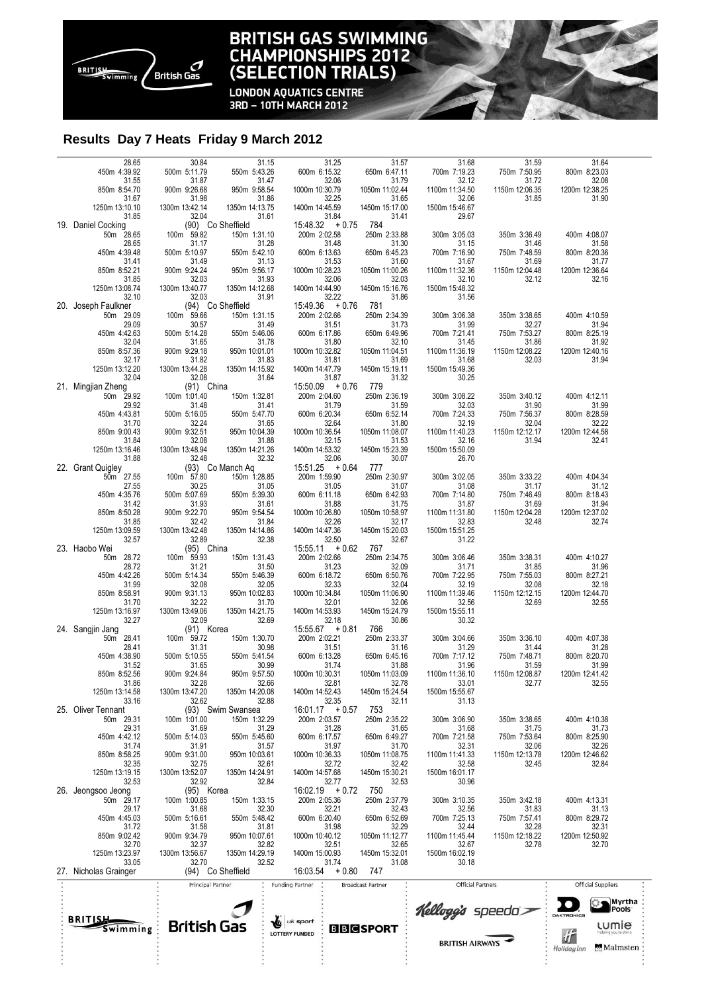

## **BRITISH GAS SWIMMING<br>CHAMPIONSHIPS 2012<br>(SELECTION TRIALS)**

**LONDON AQUATICS CENTRE<br>3RD - 10TH MARCH 2012** 

### **Results Day 7 Heats Friday 9 March 2012**

| 850m 8:52.21<br>31.85<br>1250m 13:08.74   | 900m 9:24.24<br>32.03<br>1300m 13:40.77 | 950m 9:56.17<br>31.93<br>1350m 14:12.68    | 1000m 10:28.23<br>32.06                                               | 1050m 11:00.26<br>32.03<br>1450m 15:16.76 | 1100m 11:32.36<br>32.10<br>1500m 15:48.32 | 1150m 12:04.48<br>32.12                 | 1200m 12:36.64<br>32.16                 |                              |
|-------------------------------------------|-----------------------------------------|--------------------------------------------|-----------------------------------------------------------------------|-------------------------------------------|-------------------------------------------|-----------------------------------------|-----------------------------------------|------------------------------|
| 32.10                                     | 32.03                                   | 31.91                                      | 1400m 14:44.90<br>32.22                                               | 31.86                                     | 31.56                                     |                                         |                                         |                              |
| 20. Joseph Faulkner<br>50m 29.09<br>29.09 | $100m$ 59.66<br>30.57                   | (94) Co Sheffield<br>150m 1:31.15<br>31.49 | $15:49.36 + 0.76$<br>200m 2:02.66                                     | 781<br>250m 2:34.39<br>31.73              | 300m 3:06.38<br>31.99                     | 350m 3:38.65<br>32.27                   | 400m 4:10.59<br>31.94                   |                              |
| 450m 4:42.63<br>32.04                     | 500m 5:14.28<br>31.65                   | 550m 5:46.06<br>31.78                      | $\begin{array}{r} 31.51 \\ 600 \text{m} \end{array}$ 6:17.86<br>31.80 | 650m 6:49.96<br>32.10                     | 700m 7:21.41<br>31.45                     | 750m 7:53.27<br>31.86                   | 800m 8:25.19<br>31.92                   |                              |
| 850m 8:57.36<br>32.17<br>1250m 13:12.20   | 900m 9:29.18<br>31.82<br>1300m 13:44.28 | 950m 10:01.01<br>31.83<br>1350m 14:15.92   | 1000m 10:32.82<br>31.81<br>1400m 14:47.79                             | 1050m 11:04.51<br>31.69<br>1450m 15:19.11 | 1100m 11:36.19<br>31.68<br>1500m 15:49.36 | 1150m 12:08.22<br>32.03                 | 1200m 12:40.16<br>31.94                 |                              |
| 32.04<br>21. Mingjian Zheng               | 32.08<br>$(91)$ China                   | 31.64                                      | 31.87<br>$15.50.09 + 0.76$                                            | 31.32<br>779                              | 30.25                                     |                                         |                                         |                              |
| 50m 29.92<br>29.92<br>450m 4:43.81        | 100m 1:01.40<br>31.48<br>500m 5:16.05   | 150m 1:32.81<br>31.41<br>550m 5:47.70      | 200m 2:04.60<br>31.79<br>600m 6:20.34                                 | 250m 2:36.19<br>31.59<br>650m 6:52.14     | 300m 3:08.22<br>32.03<br>700m 7:24.33     | 350m 3:40.12<br>31.90<br>750m 7:56.37   | 400m 4:12.11<br>31.99<br>800m 8:28.59   |                              |
| 31.70<br>850m 9:00.43                     | 32.24<br>900m 9:32.51                   | 31.65<br>950m 10:04.39                     | 32.64<br>1000m 10:36.54                                               | 31.80<br>1050m 11:08.07                   | 32.19<br>1100m 11:40.23                   | 32.04<br>1150m 12:12.17                 | 32.22<br>1200m 12:44.58                 |                              |
| 31.84<br>1250m 13:16.46<br>31.88          | 32.08<br>1300m 13:48.94<br>32.48        | 31.88<br>1350m 14:21.26<br>32.32           | 32.15<br>1400m 14:53.32<br>32.06                                      | 31.53<br>1450m 15:23.39<br>30.07          | 32.16<br>1500m 15:50.09<br>26.70          | 31.94                                   | 32.41                                   |                              |
| 22. Grant Quigley<br>50m <sup>27.55</sup> | 100m 57.80                              | (93) Co Manch Aq<br>150m 1:28.85<br>31.05  | $15:51.25 + 0.64$<br>200m 1:59.90                                     | 777<br>250m 2:30.97                       | 300m 3:02.05                              | 350m 3:33.22                            | 400m 4:04.34                            |                              |
| 27.55<br>450m 4:35.76<br>31.42            | 30.25<br>500m 5:07.69<br>31.93          | 550m 5:39.30<br>31.61                      | 31.05<br>600m 6:11.18<br>31.88                                        | 31.07<br>650m 6:42.93<br>31.75            | 31.08<br>700m 7:14.80<br>31.87            | 31.17<br>750m 7:46.49<br>31.69          | 31.12<br>800m 8:18.43<br>31.94          |                              |
| 850m 8:50.28<br>31.85                     | 900m 9:22.70<br>32.42                   | 950m 9:54.54<br>31.84                      | 1000m 10:26.80<br>32.26                                               | 1050m 10:58.97<br>32.17                   | 1100m 11:31.80<br>32.83                   | 1150m 12:04.28<br>32.48                 | 1200m 12:37.02<br>32.74                 |                              |
| 1250m 13:09.59<br>32.57<br>23. Haobo Wei  | 1300m 13:42.48<br>32.89<br>(95) China   | 1350m 14:14.86<br>32.38                    | 1400m 14:47.36<br>32.50<br>$15:55.11 + 0.62$                          | 1450m 15:20.03<br>32.67<br>767            | 1500m 15:51.25<br>31.22                   |                                         |                                         |                              |
| 50m 28.72<br>28.72                        | 100m 59.93<br>31.21                     | 150m 1:31.43<br>31.50                      | 200m 2:02.66<br>31.23                                                 | 250m 2:34.75<br>32.09                     | 300m 3:06.46<br>31.71                     | 350m 3:38.31<br>31.85                   | 400m 4:10.27<br>31.96                   |                              |
| 450m 4:42.26<br>31.99<br>850m 8:58.91     | 500m 5:14.34<br>32.08<br>900m 9:31.13   | 550m 5:46.39<br>32.05<br>950m 10:02.83     | 600m 6:18.72<br>32.33<br>1000m 10:34.84                               | 650m 6:50.76<br>32.04<br>1050m 11:06.90   | 700m 7:22.95<br>32.19<br>1100m 11:39.46   | 750m 7:55.03<br>32.08<br>1150m 12:12.15 | 800m 8:27.21<br>32.18<br>1200m 12:44.70 |                              |
| 31.70<br>1250m 13:16.97                   | 32.22<br>1300m 13:49.06                 | 31.70<br>1350m 14:21.75                    | 32.01<br>1400m 14:53.93                                               | 32.06<br>1450m 15:24.79                   | 32.56<br>1500m 15:55.11                   | 32.69                                   | 32.55                                   |                              |
| 32.27<br>24. Sangjin Jang<br>50m 28.41    | 32.09<br>$(91)$ Korea<br>100m 59.72     | 32.69<br>150m 1:30.70                      | 32.18<br>$15.55.67 + 0.81$<br>200m 2:02.21                            | 30.86<br>766<br>250m 2:33.37              | 30.32<br>300m 3:04.66                     | 350m 3:36.10                            | 400m 4:07.38                            |                              |
| 28.41<br>450m 4:38.90                     | 31.31<br>500m 5:10.55                   | 30.98<br>550m 5:41.54                      | 31.51<br>600m 6:13.28                                                 | 31.16<br>650m 6:45.16                     | 31.29<br>700m 7:17.12                     | 31.44<br>750m 7:48.71                   | 31.28<br>800m 8:20.70                   |                              |
| 31.52<br>850m 8:52.56<br>31.86            | 31.65<br>900m 9:24.84<br>32.28          | 30.99<br>950m 9:57.50<br>32.66             | 31.74<br>1000m 10:30.31<br>32.81                                      | 31.88<br>1050m 11:03.09<br>32.78          | 31.96<br>1100m 11:36.10<br>33.01          | 31.59<br>1150m 12:08.87<br>32.77        | 31.99<br>1200m 12:41.42<br>32.55        |                              |
| 1250m 13:14.58<br>33.16                   | 1300m 13:47.20<br>32.62                 | 1350m 14:20.08<br>32.88                    | 1400m 14:52.43<br>32.35                                               | 1450m 15:24.54<br>32.11                   | 1500m 15:55.67<br>31.13                   |                                         |                                         |                              |
| 25. Oliver Tennant<br>50m 29.31<br>29.31  | 100m 1:01.00<br>31.69                   | (93) Swim Swansea<br>150m 1:32.29<br>31.29 | $16:01.17 + 0.57$<br>200m 2:03.57<br>31.28                            | 753<br>250m 2:35.22<br>31.65              | 300m 3:06.90<br>31.68                     | 350m 3:38.65<br>31.75                   | 400m 4:10.38<br>31.73                   |                              |
| 450m 4:42.12<br>31.74                     | 500m 5:14.03<br>31.91<br>900m 9:31.00   | 550m 5:45.60<br>31.57                      | 600m 6:17.57<br>31.97<br>1000m 10:36.33                               | 650m 6:49.27<br>31.70<br>1050m 11:08.75   | 700m 7:21.58<br>32.31<br>1100m 11:41.33   | 750m 7:53.64<br>32.06<br>1150m 12:13.78 | 800m 8:25.90<br>32.26<br>1200m 12:46.62 |                              |
| 850m 8:58.25<br>32.35<br>1250m 13:19.15   | 32.75<br>1300m 13:52.07                 | 950m 10:03.61<br>32.61<br>1350m 14:24.91   | 32.72<br>1400m 14:57.68                                               | 32.42<br>1450m 15:30.21                   | 32.58<br>1500m 16:01.17                   | 32.45                                   | 32.84                                   |                              |
| 32.53<br>26. Jeongsoo Jeong<br>50m 29.17  | 32.92<br>(95) Korea<br>100m 1:00.85     | 32.84<br>150m 1:33.15                      | 32.77<br>$16:02.19 + 0.72$<br>200m 2:05.36                            | 32.53<br>750<br>250m 2:37.79              | 30.96<br>300m 3:10.35                     | 350m 3:42.18                            | 400m 4:13.31                            |                              |
| 29.17<br>450m 4:45.03                     | 31.68<br>500m 5:16.61                   | 32.30<br>550m 5:48.42                      | 32.21<br>600m 6:20.40                                                 | 32.43<br>650m 6:52.69                     | 32.56<br>700m 7:25.13                     | 31.83<br>750m 7:57.41                   | 31.13<br>800m 8:29.72                   |                              |
| 31.72<br>850m 9:02.42<br>32.70            | 31.58<br>900m 9:34.79<br>32.37          | 31.81<br>950m 10:07.61<br>32.82            | 31.98<br>1000m 10:40.12<br>32.51                                      | 32.29<br>1050m 11:12.77<br>32.65          | 32.44<br>1100m 11:45.44<br>32.67          | 32.28<br>1150m 12:18.22<br>32.78        | 32.31<br>1200m 12:50.92<br>32.70        |                              |
| 1250m 13:23.97<br>33.05                   | 1300m 13:56.67<br>32.70                 | 1350m 14:29.19<br>32.52                    | 1400m 15:00.93<br>31.74                                               | 1450m 15:32.01<br>31.08                   | 1500m 16:02.19<br>30.18                   |                                         |                                         |                              |
| 27. Nicholas Grainger                     | Principal Partner                       | (94) Co Sheffield                          | 16:03.54<br>$+0.80$<br><b>Funding Partner</b>                         | 747<br><b>Broadcast Partner</b>           | <b>Official Partners</b>                  |                                         | <b>Official Suppliers</b>               |                              |
|                                           |                                         |                                            |                                                                       |                                           | Kellogg's speeda>                         |                                         |                                         | Myrtha<br>Pools <sup>®</sup> |
| <b>BRITIS.</b><br>Swimming                | <b>British Gas</b>                      |                                            | uk sport<br><b>LOTTERY FUNDED</b>                                     | <b>BBGSPORT</b>                           |                                           |                                         | DAKTRONICS<br><b>LUMIE</b>              |                              |
|                                           |                                         |                                            |                                                                       |                                           | <b>BRITISH AIRWAYS</b>                    |                                         | ú<br>Holiday Inn                        | Malmsten                     |
|                                           |                                         |                                            |                                                                       |                                           |                                           |                                         |                                         |                              |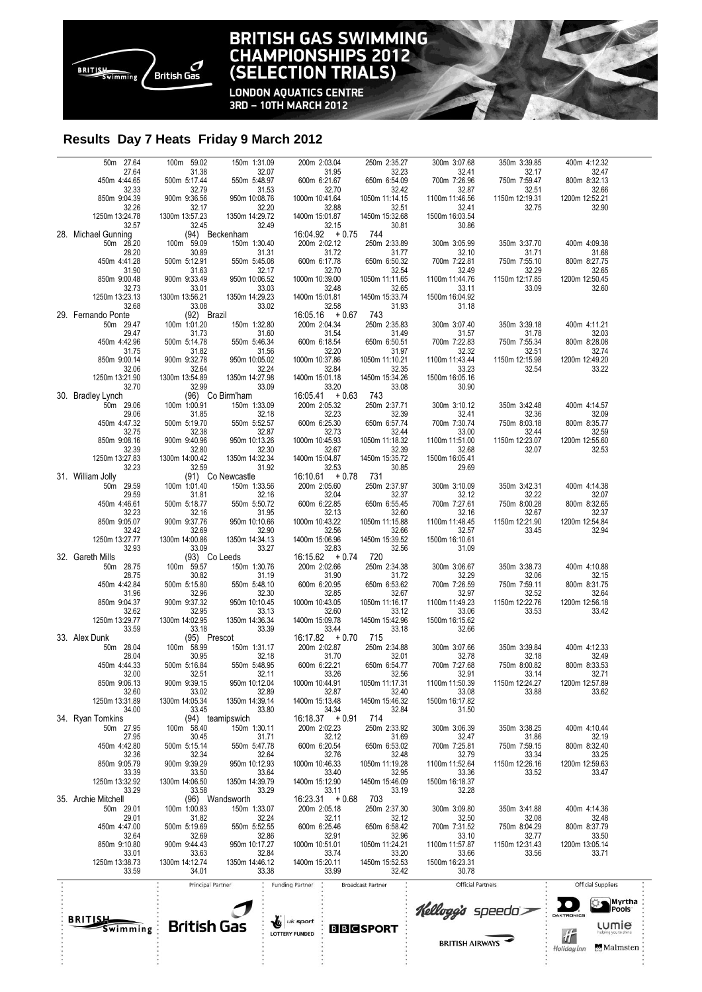

### **BRITISH GAS SWIMMING CHAMPIONSHIPS 2012**<br>(SELECTION TRIALS)

**LONDON AQUATICS CENTRE** 3RD - 10TH MARCH 2012

### **Results Day 7 Heats Friday 9 March 2012**

| 50m 27.64                        | 100m 59.02                    | 150m 1:31.09                     | 200m 2:03.04                                                                 | 250m 2:35.27             | 300m 3:07.68                   | 350m 3:39.85            | 400m 4:12.32                              |  |
|----------------------------------|-------------------------------|----------------------------------|------------------------------------------------------------------------------|--------------------------|--------------------------------|-------------------------|-------------------------------------------|--|
| 27.64<br>450m 4:44.65            | 31.38<br>500m 5:17.44         | 32.07<br>550m 5:48.97            | 31.95<br>600m 6:21.67                                                        | 32.23<br>650m 6:54.09    | 32.41<br>700m 7:26.96          | 32.17<br>750m 7:59.47   | 32.47<br>800m 8:32.13                     |  |
| 32.33<br>850m 9:04.39            | 32.79<br>900m 9:36.56         | 31.53<br>950m 10:08.76           | 32.70<br>1000m 10:41.64                                                      | 32.42<br>1050m 11:14.15  | 32.87<br>1100m 11:46.56        | 32.51<br>1150m 12:19.31 | 32.66<br>1200m 12:52.21                   |  |
| 32.26<br>1250m 13:24.78          | 32.17<br>1300m 13:57.23       | 32.20<br>1350m 14:29.72          | 32.88<br>1400m 15:01.87                                                      | 32.51<br>1450m 15:32.68  | 32.41<br>1500m 16:03.54        | 32.75                   | 32.90                                     |  |
| 32.57                            | 32.45                         | 32.49<br>(94) Beckenham          | $32.15$<br>16:04.92 + 0.75                                                   | 30.81                    | 30.86                          |                         |                                           |  |
| 28. Michael Gunning<br>50m 28.20 | 100m 59.09                    | 150m 1:30.40                     | 200m 2:02.12                                                                 | 744<br>250m 2:33.89      | 300m 3:05.99                   | 350m 3:37.70            | 400m 4:09.38                              |  |
| 28.20<br>450m 4:41.28            | 30.89<br>500m 5:12.91         | 31.31<br>550m 5:45.08            | 31.72<br>600m 6:17.78                                                        | 31.77<br>650m 6:50.32    | 32.10<br>700m 7:22.81          | 31.71<br>750m 7:55.10   | 31.68<br>800m 8:27.75                     |  |
| 31.90<br>850m 9:00.48            | 31.63<br>900m 9:33.49         | 32.17<br>950m 10:06.52           | 32.70<br>1000m 10:39.00                                                      | 32.54<br>1050m 11:11.65  | 32.49<br>1100m 11:44.76        | 32.29<br>1150m 12:17.85 | 32.65<br>1200m 12:50.45                   |  |
| 32.73                            | 33.01                         | 33.03                            | 32.48                                                                        | 32.65                    | 33.11                          | 33.09                   | 32.60                                     |  |
| 1250m 13:23.13<br>32.68          | 1300m 13:56.21<br>33.08       | 1350m 14:29.23<br>33.02          | 1400m 15:01.81<br>32.58                                                      | 1450m 15:33.74<br>31.93  | 1500m 16:04.92<br>31.18        |                         |                                           |  |
| 29. Fernando Ponte<br>50m 29.47  | (92) Brazil<br>$100m$ 1:01.20 | 150m 1:32.80                     | $16:05.16 + 0.67$<br>200m 2:04.34                                            | 743<br>250m 2:35.83      | 300m 3:07.40                   | 350m 3:39.18            | 400m 4:11.21                              |  |
| 29.47<br>450m 4:42.96            | 31.73<br>500m 5:14.78         | 31.60<br>550m 5:46.34            | 31.54<br>600m 6:18.54                                                        | 31.49<br>650m 6:50.51    | 31.57<br>700m 7:22.83          | 31.78<br>750m 7:55.34   | 32.03<br>800m 8:28.08                     |  |
| 31.75                            | 31.82                         | 31.56                            | 32.20                                                                        | 31.97                    | 32.32                          | 32.51                   | 32.74                                     |  |
| 850m 9:00.14<br>32.06            | 900m 9:32.78<br>32.64         | 950m 10:05.02<br>32.24           | 1000m 10:37.86<br>32.84                                                      | 1050m 11:10.21<br>32.35  | 1100m 11:43.44<br>33.23        | 1150m 12:15.98<br>32.54 | 1200m 12:49.20<br>33.22                   |  |
| 1250m 13:21.90<br>32.70          | 1300m 13:54.89<br>32.99       | 1350m 14:27.98<br>33.09          | 1400m 15:01.18<br>33.20                                                      | 1450m 15:34.26<br>33.08  | 1500m 16:05.16<br>30.90        |                         |                                           |  |
| 30. Bradley Lynch                |                               | (96) Co Birm'ham                 | $16:05.41 + 0.63$                                                            | 743                      |                                |                         |                                           |  |
| 50m 29.06<br>29.06               | 100m 1:00.91<br>31.85         | 150m 1:33.09<br>32.18            | 200m 2:05.32<br>$\begin{array}{r}32.23 \\ 600 \text{m} 6:25.30\n\end{array}$ | 250m 2:37.71<br>32.39    | 300m 3:10.12<br>32.41          | 350m 3:42.48<br>32.36   | 400m 4:14.57<br>32.09                     |  |
| 450m 4:47.32<br>32.75            | 500m 5:19.70<br>32.38         | 550m 5:52.57<br>32.87            | 32.73                                                                        | 650m 6:57.74<br>32.44    | 700m 7:30.74<br>33.00          | 750m 8:03.18<br>32.44   | 800m 8:35.77<br>32.59                     |  |
| 850m 9:08.16<br>32.39            | 900m 9:40.96<br>32.80         | 950m 10:13.26<br>32.30           | 1000m 10:45.93<br>32.67                                                      | 1050m 11:18.32<br>32.39  | 1100m 11:51.00<br>32.68        | 1150m 12:23.07<br>32.07 | 1200m 12:55.60<br>32.53                   |  |
| 1250m 13:27.83                   | 1300m 14:00.42                | 1350m 14:32.34                   | 1400m 15:04.87                                                               | 1450m 15:35.72           | 1500m 16:05.41                 |                         |                                           |  |
| 32.23<br>31. William Jolly       | 32.59                         | 31.92<br>(91) Co Newcastle       | 32.53<br>$16:10.61 + 0.78$                                                   | 30.85<br>731             | 29.69                          |                         |                                           |  |
| 50m 29.59<br>29.59               | 100m 1:01.40<br>31.81         | 150m 1:33.56<br>32.16            | 200m 2:05.60                                                                 | 250m 2:37.97<br>32.37    | 300m 3:10.09                   | 350m 3:42.31<br>32.22   | 400m 4:14.38<br>32.07                     |  |
| 450m 4:46.61<br>32.23            | 500m 5:18.77<br>32.16         | 550m 5:50.72<br>31.95            | $32.04$<br>600m 6:22.85<br>32.13                                             | 650m 6:55.45<br>32.60    | 32.12<br>700m 7:27.61<br>32.16 | 750m 8:00.28<br>32.67   | 800m 8:32.65<br>32.37                     |  |
| 850m 9:05.07                     | 900m 9:37.76                  | 950m 10:10.66                    | 1000m 10:43.22                                                               | 1050m 11:15.88           | 1100m 11:48.45                 | 1150m 12:21.90          | 1200m 12:54.84                            |  |
| 32.42<br>1250m 13:27.77          | 32.69<br>1300m 14:00.86       | 32.90<br>1350m 14:34.13          | 32.56<br>1400m 15:06.96                                                      | 32.66<br>1450m 15:39.52  | 32.57<br>1500m 16:10.61        | 33.45                   | 32.94                                     |  |
| 32.93<br>32. Gareth Mills        | 33.09<br>(93) Co Leeds        | 33.27                            | 32.83<br>$16:15.62 + 0.74$                                                   | 32.56<br>720             | 31.09                          |                         |                                           |  |
| 50m 28.75<br>28.75               | 100m 59.57<br>30.82           | 150m 1:30.76<br>31.19            | 200m 2:02.66<br>31.90                                                        | 250m 2:34.38<br>31.72    | 300m 3:06.67<br>32.29          | 350m 3:38.73<br>32.06   | 400m 4:10.88<br>32.15                     |  |
| 450m 4:42.84                     | 500m 5:15.80                  | 550m 5:48.10                     | 600m 6:20.95                                                                 | 650m 6:53.62             | 700m 7:26.59                   | 750m 7:59.11            | 800m 8:31.75                              |  |
| 31.96<br>850m 9:04.37            | 32.96<br>900m 9:37.32         | 32.30<br>950m 10:10.45           | 32.85<br>1000m 10:43.05                                                      | 32.67<br>1050m 11:16.17  | 32.97<br>1100m 11:49.23        | 32.52<br>1150m 12:22.76 | 32.64<br>1200m 12:56.18                   |  |
| 32.62<br>1250m 13:29.77          | 32.95<br>1300m 14:02.95       | 33.13<br>1350m 14:36.34          | 32.60<br>1400m 15:09.78                                                      | 33.12<br>1450m 15:42.96  | 33.06<br>1500m 16:15.62        | 33.53                   | 33.42                                     |  |
| 33.59<br>33. Alex Dunk           | 33.18<br>(95) Prescot         | 33.39                            | 33.44<br>$16:17.82 + 0.70$                                                   | 33.18<br>715             | 32.66                          |                         |                                           |  |
| 50m 28.04                        | $100m$ 58.99                  | 150m 1:31.17<br>32.18            | 200m 2:02.87                                                                 | 250m 2:34.88<br>32.01    | 300m 3:07.66<br>32.78          | 350m 3:39.84            | 400m 4:12.33                              |  |
| 28.04<br>450m 4:44.33            | 30.95<br>500m 5:16.84         | 550m 5:48.95                     | 31.70<br>31.70<br>600m 6:22.21                                               | 650m 6:54.77             | 700m 7:27.68                   | 32.18<br>750m 8:00.82   | 32.49<br>800m 8:33.53                     |  |
| 32.00<br>850m 9:06.13            | 32.51<br>900m 9:39.15         | 32.11<br>950m 10:12.04           | 33.26<br>1000m 10:44.91                                                      | 32.56<br>1050m 11:17.31  | 32.91<br>1100m 11:50.39        | 33.14<br>1150m 12:24.27 | 32.71<br>1200m 12:57.89                   |  |
| 32.60<br>1250m 13:31.89          | 33.02<br>1300m 14:05.34       | 32.89<br>1350m 14:39.14          | 32.87<br>1400m 15:13.48                                                      | 32.40<br>1450m 15:46.32  | 33.08<br>1500m 16:17.82        | 33.88                   | 33.62                                     |  |
| 34.00                            | 33.45                         | 33.80                            | 34.34                                                                        | 32.84                    | 31.50                          |                         |                                           |  |
| 34. Ryan Tomkins<br>50m 27.95    | 100m 58.40                    | (94) teamipswich<br>150m 1:30.11 | $16:18.37 + 0.91$<br>200m 2:02.23                                            | 714<br>250m 2:33.92      | 300m 3:06.39                   | 350m 3:38.25            | 400m 4:10.44                              |  |
| 27.95<br>450m 4:42.80            | 30.45<br>500m 5:15.14         | 31.71<br>550m 5:47.78            | 32.12<br>600m 6:20.54                                                        | 31.69<br>650m 6:53.02    | 32.47<br>700m 7:25.81          | 31.86<br>750m 7:59.15   | 32.19<br>800m 8:32.40                     |  |
| 32.36<br>850m 9:05.79            | 32.34<br>900m 9:39.29         | 32.64<br>950m 10:12.93           | 32.76<br>1000m 10:46.33                                                      | 32.48<br>1050m 11:19.28  | 32.79<br>1100m 11:52.64        | 33.34<br>1150m 12:26.16 | 33.25<br>1200m 12:59.63                   |  |
| 33.39                            | 33.50                         | 33.64                            | 33.40                                                                        | 32.95                    | 33.36                          | 33.52                   | 33.47                                     |  |
| 1250m 13:32.92<br>33.29          | 1300m 14:06.50<br>33.58       | 1350m 14:39.79<br>33.29          | 1400m 15:12.90<br>33.11                                                      | 1450m 15:46.09<br>33.19  | 1500m 16:18.37<br>32.28        |                         |                                           |  |
| 35. Archie Mitchell<br>50m 29.01 | 100m 1:00.83                  | (96) Wandsworth<br>150m 1:33.07  | $16:23.31 + 0.68$<br>200m 2:05.18                                            | 703<br>250m 2:37.30      | 300m 3:09.80                   | 350m 3:41.88            | 400m 4:14.36                              |  |
| 29.01<br>450m 4:47.00            | 31.82<br>500m 5:19.69         | 32.24<br>550m 5:52.55            | 32.11<br>600m 6:25.46                                                        | 32.12<br>650m 6:58.42    | 32.50<br>700m 7:31.52          | 32.08<br>750m 8:04.29   | 32.48<br>800m 8:37.79                     |  |
| 32.64                            | 32.69                         | 32.86                            | 32.91                                                                        | 32.96                    | 33.10                          | 32.77                   | 33.50                                     |  |
| 850m 9:10.80<br>33.01            | 900m 9:44.43<br>33.63         | 950m 10:17.27<br>32.84           | 1000m 10:51.01<br>33.74                                                      | 1050m 11:24.21<br>33.20  | 1100m 11:57.87<br>33.66        | 1150m 12:31.43<br>33.56 | 1200m 13:05.14<br>33.71                   |  |
| 1250m 13:38.73<br>33.59          | 1300m 14:12.74<br>34.01       | 1350m 14:46.12<br>33.38          | 1400m 15:20.11<br>33.99                                                      | 1450m 15:52.53<br>32.42  | 1500m 16:23.31<br>30.78        |                         |                                           |  |
|                                  | Principal Partner             |                                  | <b>Funding Partner</b>                                                       | <b>Broadcast Partner</b> | <b>Official Partners</b>       |                         | <b>Official Suppliers</b>                 |  |
|                                  |                               |                                  |                                                                              |                          |                                |                         | Myrtha                                    |  |
| BRITISJ                          |                               |                                  | uk sport                                                                     |                          | Kellogg's speeda>              |                         | Pools <sup>®</sup><br>DAKTRONICS          |  |
| Swimming                         | <b>British Gas</b>            | ٦G                               | <b>LOTTERY FUNDED</b>                                                        | <b>BBCSPORT</b>          |                                |                         | <b>LUMIE</b><br>扩<br>helping you to shine |  |
|                                  |                               |                                  |                                                                              |                          | <b>BRITISH AIRWAYS</b>         |                         | Malmsten ·<br>Holiday Inn                 |  |
|                                  |                               |                                  |                                                                              |                          |                                |                         |                                           |  |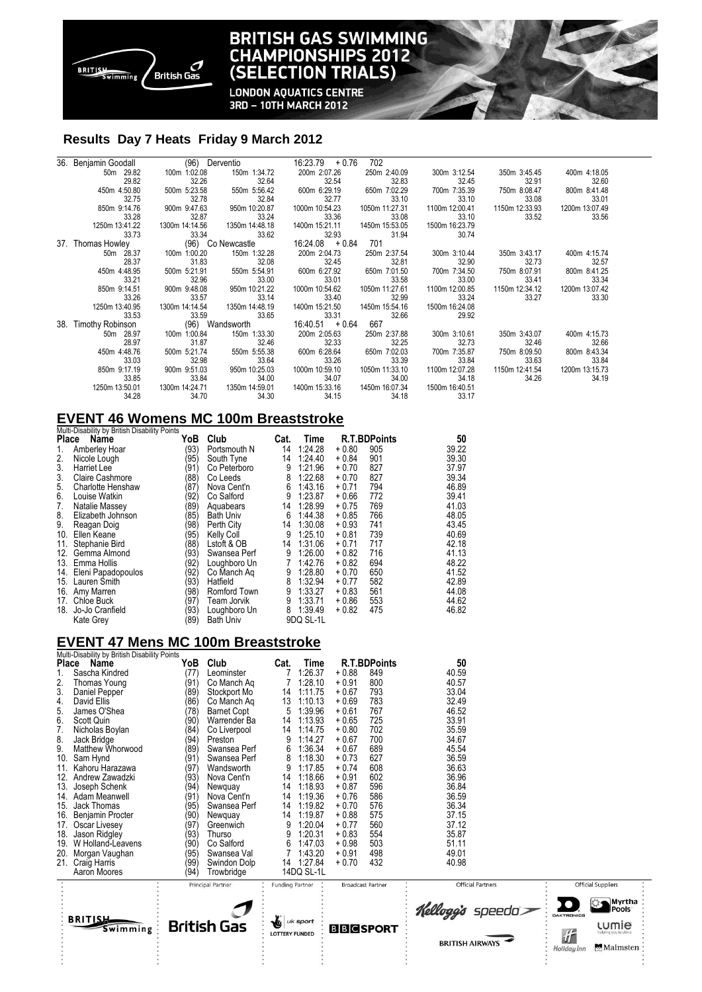

### **BRITISH GAS SWIMMING CHAMPIONSHIPS 2012 TRIALS) (SELECTION**

**LONDON AQUATICS CENTRE** 3RD - 10TH MARCH 2012

#### **Results Day 7 Heats Friday 9 March 2012**

|     | 36. Benjamin Goodall             |                | (96) Derventio    | $16:23.79 + 0.76$ | 702            |                |                |                |
|-----|----------------------------------|----------------|-------------------|-------------------|----------------|----------------|----------------|----------------|
|     | 50m 29.82                        | 100m 1:02.08   | 150m 1:34.72      | 200m 2:07.26      | 250m 2:40.09   | 300m 3:12.54   | 350m 3:45.45   | 400m 4:18.05   |
|     | 29.82                            | 32.26          | 32.64             | 32.54             | 32.83          | 32.45          | 32.91          | 32.60          |
|     | 450m 4:50.80                     | 500m 5:23.58   | 550m 5:56.42      | 600m 6:29.19      | 650m 7:02.29   | 700m 7:35.39   | 750m 8:08.47   | 800m 8:41.48   |
|     | 32.75                            | 32.78          | 32.84             | 32.77             | 33.10          | 33.10          | 33.08          | 33.01          |
|     | 850m 9:14.76                     | 900m 9:47.63   | 950m 10:20.87     | 1000m 10:54.23    | 1050m 11:27.31 | 1100m 12:00.41 | 1150m 12:33.93 | 1200m 13:07.49 |
|     | 33.28                            | 32.87          | 33.24             | 33.36             | 33.08          | 33.10          | 33.52          | 33.56          |
|     | 1250m 13:41.22                   | 1300m 14:14.56 | 1350m 14:48.18    | 1400m 15:21.11    | 1450m 15:53.05 | 1500m 16:23.79 |                |                |
|     | 33.73                            | 33.34          | 33.62             | 32.93             | 31.94          | 30.74          |                |                |
|     | 37. Thomas Howley                |                | (96) Co Newcastle | $16:24.08 + 0.84$ | 701            |                |                |                |
|     | 50m 28.37                        | 100m 1:00.20   | 150m 1:32.28      | 200m 2:04.73      | 250m 2:37.54   | 300m 3:10.44   | 350m 3:43.17   | 400m 4:15.74   |
|     | 28.37                            | 31.83          | 32.08             | 32.45             | 32.81          | 32.90          | 32.73          | 32.57          |
|     | 450m 4:48.95                     | 500m 5:21.91   | 550m 5:54.91      | 600m 6:27.92      | 650m 7:01.50   | 700m 7:34.50   | 750m 8:07.91   | 800m 8:41.25   |
|     | 33.21                            | 32.96          | 33.00             | 33.01             | 33.58          | 33.00          | 33.41          | 33.34          |
|     | 850m 9:14.51                     | 900m 9:48.08   | 950m 10:21.22     | 1000m 10:54.62    | 1050m 11:27.61 | 1100m 12:00.85 | 1150m 12:34.12 | 1200m 13:07.42 |
|     | 33.26                            | 33.57          | 33.14             | 33.40             | 32.99          | 33.24          | 33.27          | 33.30          |
|     | 1250m 13:40.95                   | 1300m 14:14.54 | 1350m 14:48.19    | 1400m 15:21.50    | 1450m 15:54.16 | 1500m 16:24.08 |                |                |
|     | 33.53                            | 33.59          | 33.65             | 33.31             | 32.66          | 29.92          |                |                |
| 38. | Timothy Robinson (96) Wandsworth |                |                   | $16:40.51 + 0.64$ | 667 — 10       |                |                |                |
|     | 50m 28.97                        | 100m 1:00.84   | 150m 1:33.30      | 200m 2:05.63      | 250m 2:37.88   | 300m 3:10.61   | 350m 3:43.07   | 400m 4:15.73   |
|     | 28.97                            | 31.87          | 32.46             | 32.33             | 32.25          | 32.73          | 32.46          | 32.66          |
|     | 450m 4:48.76                     | 500m 5:21.74   | 550m 5:55.38      | 600m 6:28.64      | 650m 7:02.03   | 700m 7:35.87   | 750m 8:09.50   | 800m 8:43.34   |
|     | 33.03                            | 32.98          | 33.64             | 33.26             | 33.39          | 33.84          | 33.63          | 33.84          |
|     | 850m 9:17.19                     | 900m 9:51.03   | 950m 10:25.03     | 1000m 10:59.10    | 1050m 11:33.10 | 1100m 12:07.28 | 1150m 12:41.54 | 1200m 13:15.73 |
|     | 33.85                            | 33.84          | 34.00             | 34.07             | 34.00          | 34.18          | 34.26          | 34.19          |
|     | 1250m 13:50.01                   | 1300m 14:24.71 | 1350m 14:59.01    | 1400m 15:33.16    | 1450m 16:07.34 | 1500m 16:40.51 |                |                |
|     | 34.28                            | 34.70          | 34.30             | 34.15             | 34.18          | 33.17          |                |                |

#### **EVENT 46 Womens MC 100m Breaststroke**  Multi-Disability by British Disability Points

|     | $1.1.011$ $1.0000$ $1.1.1$ $1.000$ $1.000$ $1.000$ $1.000$<br>Place Name | YoB  | Club             | Cat. | Time      |         | <b>R.T.BDPoints</b> | 50    |
|-----|--------------------------------------------------------------------------|------|------------------|------|-----------|---------|---------------------|-------|
| 1.  | Amberley Hoar                                                            | (93) | Portsmouth N     | 14   | 1:24.28   | $+0.80$ | 905                 | 39.22 |
| 2.  | Nicole Lough                                                             | (95) | South Tyne       | 14   | 1:24.40   | $+0.84$ | 901                 | 39.30 |
| 3.  | Harriet Lee                                                              | (91) | Co Peterboro     | 9    | 1:21.96   | $+0.70$ | 827                 | 37.97 |
| 3.  | <b>Claire Cashmore</b>                                                   | (88) | Co Leeds         | 8    | 1:22.68   | $+0.70$ | 827                 | 39.34 |
| 5.  | Charlotte Henshaw                                                        | (87) | Nova Cent'n      | 6    | 1:43.16   | $+0.71$ | 794                 | 46.89 |
| 6.  | Louise Watkin                                                            | (92) | Co Salford       | 9    | 1:23.87   | $+0.66$ | 772                 | 39.41 |
| 7.  | Natalie Massey                                                           | (89) | Aquabears        | 14   | 1:28.99   | $+0.75$ | 769                 | 41.03 |
| 8.  | Elizabeth Johnson                                                        | (85) | <b>Bath Univ</b> | 6    | 1:44.38   | $+0.85$ | 766                 | 48.05 |
| 9.  | Reagan Doig                                                              | (98) | Perth City       | 14   | 1:30.08   | $+0.93$ | 741                 | 43.45 |
|     | 10. Ellen Keane                                                          | (95) | Kelly Coll       | 9    | 1:25.10   | $+0.81$ | 739                 | 40.69 |
| 11. | Stephanie Bird                                                           | (88) | Lstoft & OB      | 14   | 1:31.06   | $+0.71$ | 717                 | 42.18 |
|     | 12. Gemma Almond                                                         | (93) | Swansea Perf     | 9    | 1:26.00   | $+0.82$ | 716                 | 41.13 |
|     | 13. Emma Hollis                                                          | (92) | Loughboro Un     |      | 1:42.76   | $+0.82$ | 694                 | 48.22 |
|     | 14. Eleni Papadopoulos                                                   | (92) | Co Manch Ag      | 9    | 1:28.80   | $+0.70$ | 650                 | 41.52 |
|     | 15. Lauren Smith                                                         | (93) | Hatfield         | 8    | 1:32.94   | $+0.77$ | 582                 | 42.89 |
|     | 16. Amy Marren                                                           | (98) | Romford Town     | 9    | 1:33.27   | $+0.83$ | 561                 | 44.08 |
|     | 17. Chloe Buck                                                           | (97) | Team Jorvik      | 9    | 1:33.71   | $+0.86$ | 553                 | 44.62 |
| 18. | Jo-Jo Cranfield                                                          | (93) | Loughboro Un     | 8    | 1:39.49   | $+0.82$ | 475                 | 46.82 |
|     | <b>Kate Grev</b>                                                         | (89) | <b>Bath Univ</b> |      | 9DQ SL-1L |         |                     |       |

### **EVENT 47 Mens MC 100m Breaststroke**

**British Gas** 

BRITISH<br>Swimming

| Multi-Disability by British Disability Points |      |                    |                        |            |                          |                     |                          |  |  |  |  |
|-----------------------------------------------|------|--------------------|------------------------|------------|--------------------------|---------------------|--------------------------|--|--|--|--|
| Place Name                                    | YoB  | Club               | Cat.                   | Time       |                          | <b>R.T.BDPoints</b> | 50                       |  |  |  |  |
| 1.<br>Sascha Kindred                          | (77) | Leominster         |                        | 1:26.37    | $+0.88$                  | 849                 | 40.59                    |  |  |  |  |
| 2.<br>Thomas Young                            | (91) | Co Manch Aq        |                        | 1:28.10    | $+0.91$                  | 800                 | 40.57                    |  |  |  |  |
| 3.<br>Daniel Pepper                           | (89) | Stockport Mo       | 14                     | 1:11.75    | $+0.67$                  | 793                 | 33.04                    |  |  |  |  |
| 4.<br>David Ellis                             | (86) | Co Manch Ag        | 13                     | 1:10.13    | $+0.69$                  | 783                 | 32.49                    |  |  |  |  |
| 5.<br>James O'Shea                            | (78) | <b>Barnet Copt</b> | 5                      | 1.39.96    | $+0.61$                  | 767                 | 46.52                    |  |  |  |  |
| 6.<br>Scott Quin                              | (90) | Warrender Ba       | 14                     | 1:13.93    | $+0.65$                  | 725                 | 33.91                    |  |  |  |  |
| 7.<br>Nicholas Boylan                         | (84) | Co Liverpool       | 14                     | 1:14.75    | $+0.80$                  | 702                 | 35.59                    |  |  |  |  |
| 8.<br>Jack Bridge                             | (94) | Preston            | 9                      | 1:14.27    | $+0.67$                  | 700                 | 34.67                    |  |  |  |  |
| 9.<br>Matthew Whorwood                        | (89) | Swansea Perf       | 6                      | 1:36.34    | $+0.67$                  | 689                 | 45.54                    |  |  |  |  |
| 10.<br>Sam Hynd                               | (91) | Swansea Perf       | 8                      | 1:18.30    | $+0.73$                  | 627                 | 36.59                    |  |  |  |  |
| 11.<br>Kahoru Harazawa                        | (97) | Wandsworth         | 9                      | 1:17.85    | $+0.74$                  | 608                 | 36.63                    |  |  |  |  |
| 12.<br>Andrew Zawadzki                        | (93) | Nova Cent'n        | 14                     | 1:18.66    | $+0.91$                  | 602                 | 36.96                    |  |  |  |  |
| 13.<br>Joseph Schenk                          | (94) | Newquay            | 14                     | 1:18.93    | $+0.87$                  | 596                 | 36.84                    |  |  |  |  |
| Adam Meanwell<br>14.                          | (91) | Nova Cent'n        | 14                     | 1:19.36    | $+0.76$                  | 586                 | 36.59                    |  |  |  |  |
| Jack Thomas<br>15.                            | (95) | Swansea Perf       | 14                     | 1:19.82    | $+0.70$                  | 576                 | 36.34                    |  |  |  |  |
| 16.<br><b>Benjamin Procter</b>                | (90) | Newguay            | 14                     | 1:19.87    | $+0.88$                  | 575                 | 37.15                    |  |  |  |  |
| Oscar Livesey<br>17.                          | (97) | Greenwich          | 9                      | 1:20.04    | $+0.77$                  | 560                 | 37.12                    |  |  |  |  |
| 18.<br>Jason Ridgley                          | (93) | Thurso             | 9                      | 1:20.31    | $+0.83$                  | 554                 | 35.87                    |  |  |  |  |
| W Holland-Leavens<br>19.                      | (90) | Co Salford         | 6                      | 1:47.03    | $+0.98$                  | 503                 | 51.11                    |  |  |  |  |
| 20.<br>Morgan Vaughan                         | (95) | Swansea Val        |                        | 1:43.20    | $+0.91$                  | 498                 | 49.01                    |  |  |  |  |
| 21.<br>Craig Harris                           | (99) | Swindon Dolp       |                        | 14 1:27.84 | $+0.70$                  | 432                 | 40.98                    |  |  |  |  |
| Aaron Moores                                  | (94) | Trowbridge         |                        | 14DQ SL-1L |                          |                     |                          |  |  |  |  |
|                                               |      | Principal Partner  | <b>Funding Partner</b> |            | <b>Broadcast Partner</b> |                     | <b>Official Partners</b> |  |  |  |  |
|                                               |      |                    |                        |            |                          |                     |                          |  |  |  |  |
|                                               |      |                    |                        |            |                          |                     |                          |  |  |  |  |
| <b>RRITISH</b>                                |      |                    | $\mathbf{z}$ $\sim$    |            |                          |                     | Kelloggis<br>speedo`>    |  |  |  |  |

**L**e uk sport

LOTTERY FUNDED

**BBGSPORT** 

**BRITISH AIRWAYS**